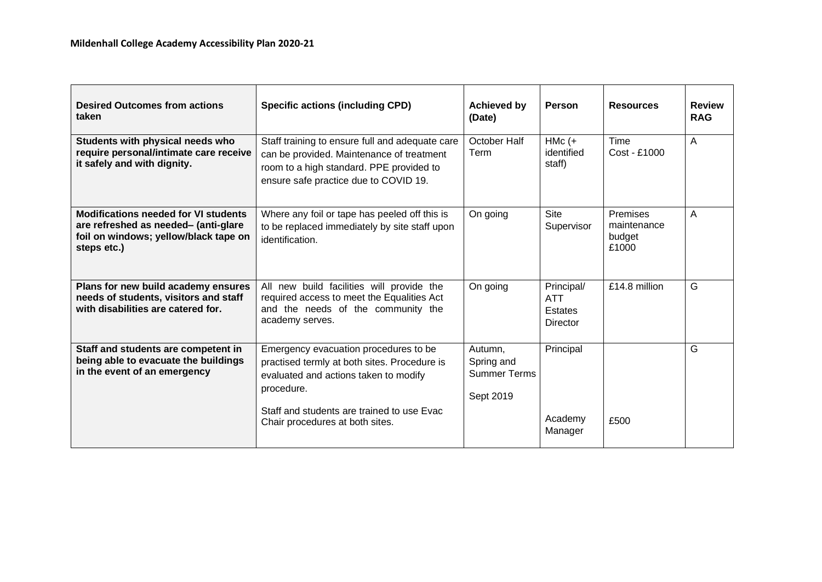| <b>Desired Outcomes from actions</b><br>taken                                                                                               | <b>Specific actions (including CPD)</b>                                                                                                                                                                                       | <b>Achieved by</b><br>(Date)                              | Person                                          | <b>Resources</b>                                  | <b>Review</b><br><b>RAG</b> |
|---------------------------------------------------------------------------------------------------------------------------------------------|-------------------------------------------------------------------------------------------------------------------------------------------------------------------------------------------------------------------------------|-----------------------------------------------------------|-------------------------------------------------|---------------------------------------------------|-----------------------------|
| Students with physical needs who<br>require personal/intimate care receive<br>it safely and with dignity.                                   | Staff training to ensure full and adequate care<br>can be provided. Maintenance of treatment<br>room to a high standard. PPE provided to<br>ensure safe practice due to COVID 19.                                             | October Half<br>Term                                      | $HMC (+$<br>identified<br>staff)                | <b>Time</b><br>Cost - £1000                       | Α                           |
| <b>Modifications needed for VI students</b><br>are refreshed as needed- (anti-glare<br>foil on windows; yellow/black tape on<br>steps etc.) | Where any foil or tape has peeled off this is<br>to be replaced immediately by site staff upon<br>identification.                                                                                                             | On going                                                  | <b>Site</b><br>Supervisor                       | <b>Premises</b><br>maintenance<br>budget<br>£1000 | A                           |
| Plans for new build academy ensures<br>needs of students, visitors and staff<br>with disabilities are catered for.                          | All new build facilities will provide the<br>required access to meet the Equalities Act<br>and the needs of the community the<br>academy serves.                                                                              | On going                                                  | Principal/<br><b>ATT</b><br>Estates<br>Director | £14.8 million                                     | G                           |
| Staff and students are competent in<br>being able to evacuate the buildings<br>in the event of an emergency                                 | Emergency evacuation procedures to be<br>practised termly at both sites. Procedure is<br>evaluated and actions taken to modify<br>procedure.<br>Staff and students are trained to use Evac<br>Chair procedures at both sites. | Autumn,<br>Spring and<br><b>Summer Terms</b><br>Sept 2019 | Principal<br>Academy<br>Manager                 | £500                                              | G                           |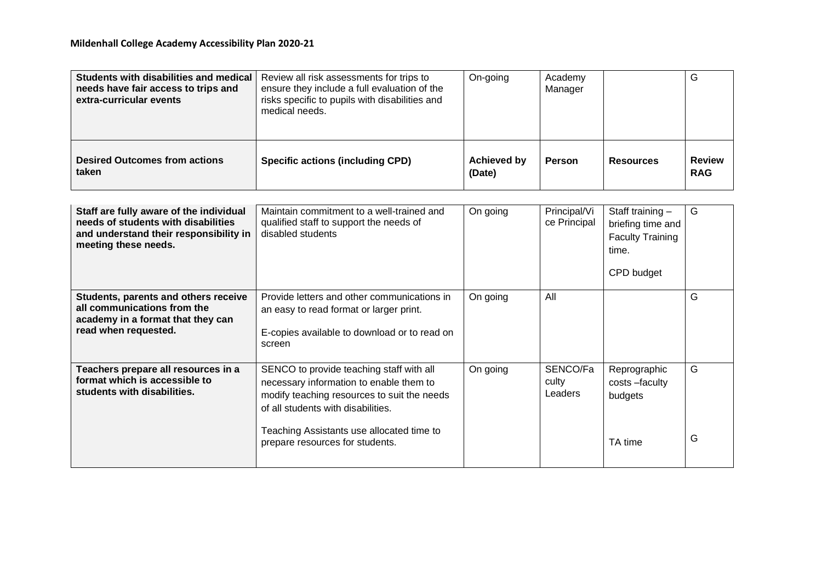| Students with disabilities and medical   Review all risk assessments for trips to<br>needs have fair access to trips and<br>extra-curricular events | ensure they include a full evaluation of the<br>risks specific to pupils with disabilities and<br>medical needs. | On-going                     | Academy<br>Manager |                  | G                           |
|-----------------------------------------------------------------------------------------------------------------------------------------------------|------------------------------------------------------------------------------------------------------------------|------------------------------|--------------------|------------------|-----------------------------|
| <b>Desired Outcomes from actions</b><br>taken                                                                                                       | <b>Specific actions (including CPD)</b>                                                                          | <b>Achieved by</b><br>(Date) | Person             | <b>Resources</b> | <b>Review</b><br><b>RAG</b> |

| Staff are fully aware of the individual<br>needs of students with disabilities<br>and understand their responsibility in<br>meeting these needs. | Maintain commitment to a well-trained and<br>qualified staff to support the needs of<br>disabled students                                                                                                                                                | On going | Principal/Vi<br>ce Principal | Staff training -<br>briefing time and<br><b>Faculty Training</b><br>time.<br>CPD budget | G      |
|--------------------------------------------------------------------------------------------------------------------------------------------------|----------------------------------------------------------------------------------------------------------------------------------------------------------------------------------------------------------------------------------------------------------|----------|------------------------------|-----------------------------------------------------------------------------------------|--------|
| Students, parents and others receive<br>all communications from the<br>academy in a format that they can<br>read when requested.                 | Provide letters and other communications in<br>an easy to read format or larger print.<br>E-copies available to download or to read on<br>screen                                                                                                         | On going | All                          |                                                                                         | G      |
| Teachers prepare all resources in a<br>format which is accessible to<br>students with disabilities.                                              | SENCO to provide teaching staff with all<br>necessary information to enable them to<br>modify teaching resources to suit the needs<br>of all students with disabilities.<br>Teaching Assistants use allocated time to<br>prepare resources for students. | On going | SENCO/Fa<br>culty<br>Leaders | Reprographic<br>costs -faculty<br>budgets<br>TA time                                    | G<br>G |